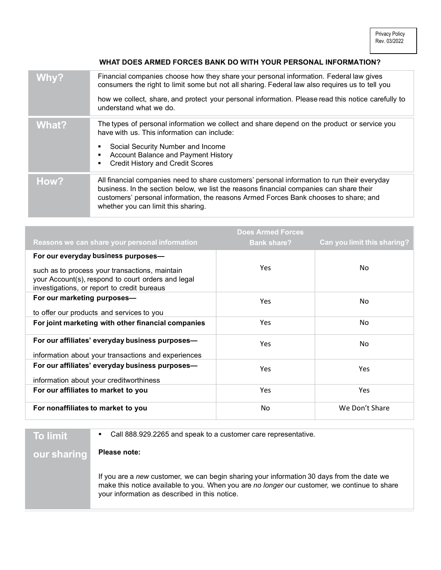## WHAT DOES ARMED FORCES BANK DO WITH YOUR PERSONAL INFORMATION?

| Why?  | Financial companies choose how they share your personal information. Federal law gives<br>consumers the right to limit some but not all sharing. Federal law also requires us to tell you                                                                                                                             |
|-------|-----------------------------------------------------------------------------------------------------------------------------------------------------------------------------------------------------------------------------------------------------------------------------------------------------------------------|
|       | how we collect, share, and protect your personal information. Please read this notice carefully to<br>understand what we do.                                                                                                                                                                                          |
| What? | The types of personal information we collect and share depend on the product or service you<br>have with us. This information can include:<br>Social Security Number and Income<br>п<br>Account Balance and Payment History<br><b>Credit History and Credit Scores</b>                                                |
| How?  | All financial companies need to share customers' personal information to run their everyday<br>business. In the section below, we list the reasons financial companies can share their<br>customers' personal information, the reasons Armed Forces Bank chooses to share; and<br>whether you can limit this sharing. |

|                                                                                                                                                     | <b>Does Armed Forces</b> |                             |
|-----------------------------------------------------------------------------------------------------------------------------------------------------|--------------------------|-----------------------------|
| Reasons we can share your personal information                                                                                                      | <b>Bank share?</b>       | Can you limit this sharing? |
| For our everyday business purposes-                                                                                                                 |                          |                             |
| such as to process your transactions, maintain<br>your Account(s), respond to court orders and legal<br>investigations, or report to credit bureaus | <b>Yes</b>               | No.                         |
| For our marketing purposes-                                                                                                                         | <b>Yes</b>               | No.                         |
| to offer our products and services to you                                                                                                           |                          |                             |
| For joint marketing with other financial companies                                                                                                  | <b>Yes</b>               | No.                         |
| For our affiliates' everyday business purposes-                                                                                                     | <b>Yes</b>               | No.                         |
| information about your transactions and experiences                                                                                                 |                          |                             |
| For our affiliates' everyday business purposes-                                                                                                     | Yes                      | <b>Yes</b>                  |
| information about your creditworthiness                                                                                                             |                          |                             |
| For our affiliates to market to you                                                                                                                 | <b>Yes</b>               | Yes                         |
| For nonaffiliates to market to you                                                                                                                  | No.                      | We Don't Share              |

| <b>To limit</b> | Call 888.929.2265 and speak to a customer care representative.<br>٠                                                                                                                                                                        |
|-----------------|--------------------------------------------------------------------------------------------------------------------------------------------------------------------------------------------------------------------------------------------|
| our sharing     | Please note:                                                                                                                                                                                                                               |
|                 | If you are a new customer, we can begin sharing your information 30 days from the date we<br>make this notice available to you. When you are no longer our customer, we continue to share<br>your information as described in this notice. |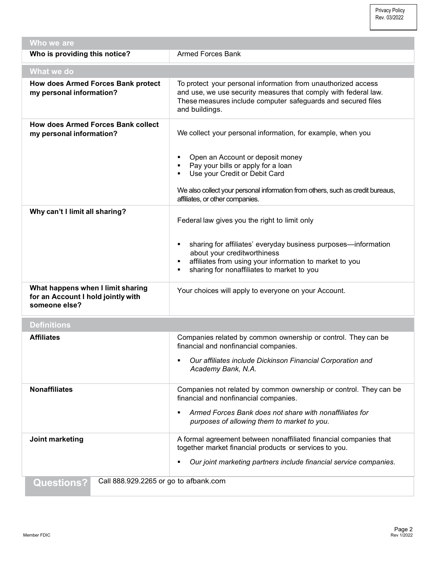Privacy Policy Rev. 03/2022

| Who we are                                                                               |                                                                                                                                                                                                                           |
|------------------------------------------------------------------------------------------|---------------------------------------------------------------------------------------------------------------------------------------------------------------------------------------------------------------------------|
| Who is providing this notice?                                                            | <b>Armed Forces Bank</b>                                                                                                                                                                                                  |
| What we do                                                                               |                                                                                                                                                                                                                           |
| How does Armed Forces Bank protect<br>my personal information?                           | To protect your personal information from unauthorized access<br>and use, we use security measures that comply with federal law.<br>These measures include computer safeguards and secured files<br>and buildings.        |
| <b>How does Armed Forces Bank collect</b><br>my personal information?                    | We collect your personal information, for example, when you                                                                                                                                                               |
|                                                                                          | Open an Account or deposit money<br>Pay your bills or apply for a loan<br>Use your Credit or Debit Card<br>٠<br>We also collect your personal information from others, such as credit bureaus,                            |
| Why can't I limit all sharing?                                                           | affiliates, or other companies.                                                                                                                                                                                           |
|                                                                                          | Federal law gives you the right to limit only                                                                                                                                                                             |
|                                                                                          | sharing for affiliates' everyday business purposes-information<br>٠<br>about your creditworthiness<br>affiliates from using your information to market to you<br>٠<br>sharing for nonaffiliates to market to you<br>٠     |
| What happens when I limit sharing<br>for an Account I hold jointly with<br>someone else? | Your choices will apply to everyone on your Account.                                                                                                                                                                      |
| <b>Definitions</b>                                                                       |                                                                                                                                                                                                                           |
| <b>Affiliates</b>                                                                        | Companies related by common ownership or control. They can be<br>financial and nonfinancial companies.<br>Our affiliates include Dickinson Financial Corporation and<br>٠                                                 |
|                                                                                          | Academy Bank, N.A.                                                                                                                                                                                                        |
| <b>Nonaffiliates</b>                                                                     | Companies not related by common ownership or control. They can be<br>financial and nonfinancial companies.<br>Armed Forces Bank does not share with nonaffiliates for<br>٠<br>purposes of allowing them to market to you. |
| Joint marketing                                                                          | A formal agreement between nonaffiliated financial companies that                                                                                                                                                         |
|                                                                                          | together market financial products or services to you.<br>Our joint marketing partners include financial service companies.                                                                                               |
| Call 888.929.2265 or go to afbank.com<br><b>Questions?</b>                               |                                                                                                                                                                                                                           |